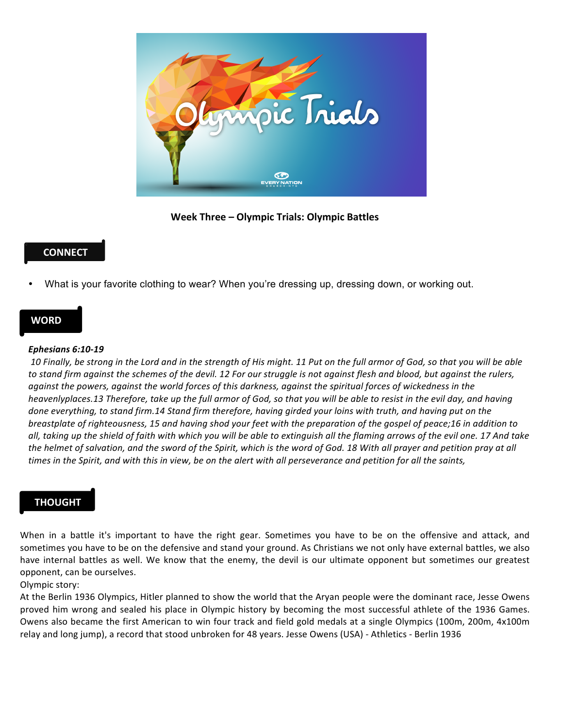

Week Three – Olympic Trials: Olympic Battles

# **CONNECT**

• What is your favorite clothing to wear? When you're dressing up, dressing down, or working out.

### **WORD**

#### *Ephesians 6:10-19*

10 Finally, be strong in the Lord and in the strength of His might. 11 Put on the full armor of God, so that you will be able to stand firm against the schemes of the devil. 12 For our struggle is not against flesh and blood, but against the rulers, *against the powers, against the world forces of this darkness, against the spiritual forces of wickedness in the heavenlyplaces.13* Therefore, take up the full armor of God, so that you will be able to resist in the evil day, and having done everything, to stand firm.14 Stand firm therefore, having girded your loins with truth, and having put on the *breastplate* of righteousness, 15 and having shod your feet with the preparation of the gospel of peace;16 in addition to *all, taking up the shield of faith with which you will be able to extinguish all the flaming arrows of the evil one. 17 And take*  the helmet of salvation, and the sword of the Spirit, which is the word of God. 18 With all prayer and petition pray at all *times* in the Spirit, and with this in view, be on the alert with all perseverance and petition for all the saints,

## **THOUGHT**

When in a battle it's important to have the right gear. Sometimes you have to be on the offensive and attack, and sometimes you have to be on the defensive and stand your ground. As Christians we not only have external battles, we also have internal battles as well. We know that the enemy, the devil is our ultimate opponent but sometimes our greatest opponent, can be ourselves.

### Olympic story:

At the Berlin 1936 Olympics, Hitler planned to show the world that the Aryan people were the dominant race, Jesse Owens proved him wrong and sealed his place in Olympic history by becoming the most successful athlete of the 1936 Games. Owens also became the first American to win four track and field gold medals at a single Olympics (100m, 200m, 4x100m relay and long jump), a record that stood unbroken for 48 years. Jesse Owens (USA) - Athletics - Berlin 1936